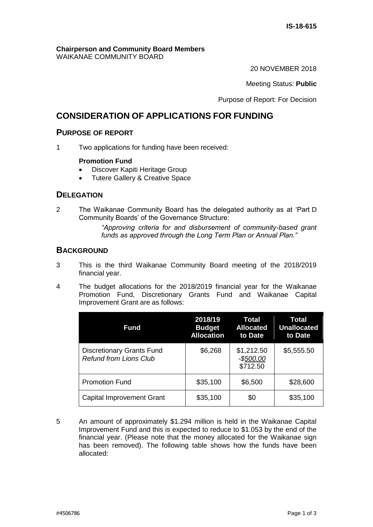#### **Chairperson and Community Board Members** WAIKANAE COMMUNITY BOARD

20 NOVEMBER 2018

Meeting Status: **Public**

Purpose of Report: For Decision

# **CONSIDERATION OF APPLICATIONS FOR FUNDING**

## **PURPOSE OF REPORT**

1 Two applications for funding have been received:

### **Promotion Fund**

- Discover Kapiti Heritage Group
- Tutere Gallery & Creative Space

## **DELEGATION**

2 The Waikanae Community Board has the delegated authority as at 'Part D Community Boards' of the Governance Structure:

> *"Approving criteria for and disbursement of community-based grant funds as approved through the Long Term Plan or Annual Plan."*

## **BACKGROUND**

- 3 This is the third Waikanae Community Board meeting of the 2018/2019 financial year.
- 4 The budget allocations for the 2018/2019 financial year for the Waikanae Promotion Fund, Discretionary Grants Fund and Waikanae Capital Improvement Grant are as follows:

| <b>Fund</b>                                                       | 2018/19<br><b>Budget</b><br><b>Allocation</b> | Total<br><b>Allocated</b><br>to Date | Total<br><b>Unallocated</b><br>to Date |
|-------------------------------------------------------------------|-----------------------------------------------|--------------------------------------|----------------------------------------|
| <b>Discretionary Grants Fund</b><br><b>Refund from Lions Club</b> | \$6,268                                       | \$1,212.50<br>$-$500.00$<br>\$712.50 | \$5,555.50                             |
| <b>Promotion Fund</b>                                             | \$35,100                                      | \$6,500                              | \$28,600                               |
| <b>Capital Improvement Grant</b>                                  | \$35,100                                      | \$0                                  | \$35,100                               |

5 An amount of approximately \$1.294 million is held in the Waikanae Capital Improvement Fund and this is expected to reduce to \$1.053 by the end of the financial year. (Please note that the money allocated for the Waikanae sign has been removed). The following table shows how the funds have been allocated: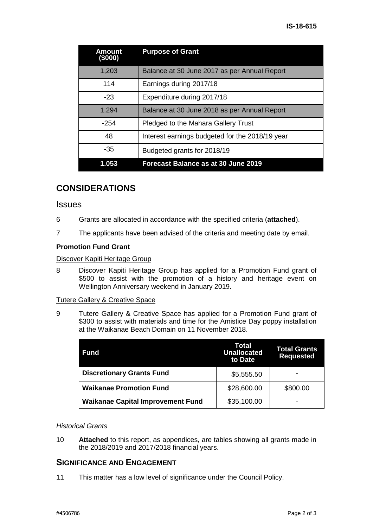| Amount<br>(\$000) | <b>Purpose of Grant</b>                         |
|-------------------|-------------------------------------------------|
| 1,203             | Balance at 30 June 2017 as per Annual Report    |
| 114               | Earnings during 2017/18                         |
| $-23$             | Expenditure during 2017/18                      |
| 1.294             | Balance at 30 June 2018 as per Annual Report    |
| $-254$            | Pledged to the Mahara Gallery Trust             |
| 48                | Interest earnings budgeted for the 2018/19 year |
| -35               | Budgeted grants for 2018/19                     |
| 1.053             | Forecast Balance as at 30 June 2019             |

# **CONSIDERATIONS**

### **Issues**

- 6 Grants are allocated in accordance with the specified criteria (**attached**).
- 7 The applicants have been advised of the criteria and meeting date by email.

#### **Promotion Fund Grant**

#### Discover Kapiti Heritage Group

8 Discover Kapiti Heritage Group has applied for a Promotion Fund grant of \$500 to assist with the promotion of a history and heritage event on Wellington Anniversary weekend in January 2019.

#### Tutere Gallery & Creative Space

9 Tutere Gallery & Creative Space has applied for a Promotion Fund grant of \$300 to assist with materials and time for the Amistice Day poppy installation at the Waikanae Beach Domain on 11 November 2018.

| <b>Fund</b>                              | Total<br><b>Unallocated</b><br>to Date | <b>Total Grants</b><br><b>Requested</b> |
|------------------------------------------|----------------------------------------|-----------------------------------------|
| <b>Discretionary Grants Fund</b>         | \$5,555.50                             | $\overline{\phantom{0}}$                |
| <b>Waikanae Promotion Fund</b>           | \$28,600.00                            | \$800.00                                |
| <b>Waikanae Capital Improvement Fund</b> | \$35,100.00                            | $\overline{\phantom{0}}$                |

#### *Historical Grants*

10 **Attached** to this report, as appendices, are tables showing all grants made in the 2018/2019 and 2017/2018 financial years.

## **SIGNIFICANCE AND ENGAGEMENT**

11 This matter has a low level of significance under the Council Policy.